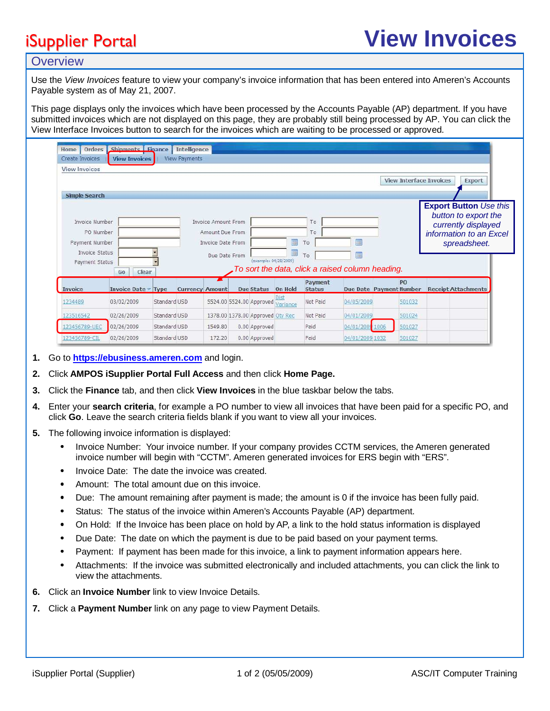# iSupplier Portal **View Invoices**

## **Overview**

Use the View Invoices feature to view your company's invoice information that has been entered into Ameren's Accounts Payable system as of May 21, 2007.

This page displays only the invoices which have been processed by the Accounts Payable (AP) department. If you have submitted invoices which are not displayed on this page, they are probably still being processed by AP. You can click the View Interface Invoices button to search for the invoices which are waiting to be processed or approved.

| Orders<br>Home<br>Create Invoices | Shipments Finance<br><b>View Invoices</b> |              | Intelligence<br><b>View Payments</b> |                     |  |                                   |              |               |                                                  |      |        |                                                                              |  |  |
|-----------------------------------|-------------------------------------------|--------------|--------------------------------------|---------------------|--|-----------------------------------|--------------|---------------|--------------------------------------------------|------|--------|------------------------------------------------------------------------------|--|--|
| <b>View Invoices</b>              |                                           |              |                                      |                     |  |                                   |              |               |                                                  |      |        |                                                                              |  |  |
|                                   |                                           |              |                                      |                     |  |                                   |              |               |                                                  |      |        | <b>View Interface Invoices</b><br>Export                                     |  |  |
| <b>Simple Search</b>              |                                           |              |                                      |                     |  |                                   |              |               |                                                  |      |        |                                                                              |  |  |
| Invoice Number                    |                                           |              |                                      | Invoice Amount From |  |                                   |              | To            |                                                  |      |        | <b>Export Button Use this</b><br>button to export the<br>currently displayed |  |  |
| PO Number                         |                                           |              | Amount Due From                      |                     |  |                                   |              | To            |                                                  |      |        | information to an Excel<br>spreadsheet.                                      |  |  |
| Payment Number                    |                                           |              |                                      | Invoice Date From   |  |                                   | E<br>m<br>To |               |                                                  |      |        |                                                                              |  |  |
| Invoice Status                    |                                           |              |                                      | Due Date From       |  |                                   | 諞            | To            | m                                                |      |        |                                                                              |  |  |
| Payment Status                    | Clear                                     |              |                                      |                     |  | (example: 04/28/2009)             |              |               | To sort the data, click a raised column heading. |      |        |                                                                              |  |  |
|                                   | Go                                        |              |                                      |                     |  |                                   |              | Payment       |                                                  |      | PO     |                                                                              |  |  |
| Invoice                           | Invoice Date Type                         |              | <b>Currency Amount</b>               |                     |  | <b>Due Status</b>                 | On Hold      | <b>Status</b> | Due Date Payment Number                          |      |        | <b>Receipt Attachments</b>                                                   |  |  |
| 1234489                           | 03/02/2009                                | Standard USD |                                      |                     |  | 5524.00 5524.00 Approved Variance |              | Not Paid      | 04/05/2009                                       |      | 501032 |                                                                              |  |  |
| 123516542                         | 02/26/2009                                | Standard USD |                                      |                     |  | 1378.00 1378.00 Approved Oty Rec  |              | Not Paid      | 04/01/2009                                       |      | 501024 |                                                                              |  |  |
| 23456789-UEC                      | 02/26/2009                                | Standard USD |                                      | 1549.80             |  | 0.00 Approved                     |              | Paid          | 04/01/2009                                       | 1006 | 501027 |                                                                              |  |  |
| 123456789-CIL                     | 02/26/2009                                | Standard USD |                                      | 172.20              |  | 0.00 Approved                     |              | Paid          | 04/01/2009 1032                                  |      | 501027 |                                                                              |  |  |

- **1.** Go to **[https://ebusiness.ameren.co](https://ebusiness.ameren.com/)m** and login.
- **2.** Click **AMPOS iSupplier Portal Full Access** and then click **Home Page.**
- **3.** Click the **Finance** tab, and then click **View Invoices** in the blue taskbar below the tabs.
- **4.** Enter your **search criteria**, for example a PO number to view all invoices that have been paid for a specific PO, and click **Go**. Leave the search criteria fields blank if you want to view all your invoices.
- **5.** The following invoice information is displayed:
	- Invoice Number: Your invoice number. If your company provides CCTM services, the Ameren generated invoice number will begin with "CCTM". Ameren generated invoices for ERS begin with "ERS".
	- Invoice Date: The date the invoice was created.
	- Amount: The total amount due on this invoice.
	- Due: The amount remaining after payment is made; the amount is 0 if the invoice has been fully paid.
	- Status: The status of the invoice within Ameren's Accounts Payable (AP) department.
	- On Hold: If the Invoice has been place on hold by AP, a link to the hold status information is displayed
	- Due Date: The date on which the payment is due to be paid based on your payment terms.
	- Payment: If payment has been made for this invoice, a link to payment information appears here.
	- Attachments: If the invoice was submitted electronically and included attachments, you can click the link to view the attachments.
- **6.** Click an **Invoice Number** link to view Invoice Details.
- **7.** Click a **Payment Number** link on any page to view Payment Details.